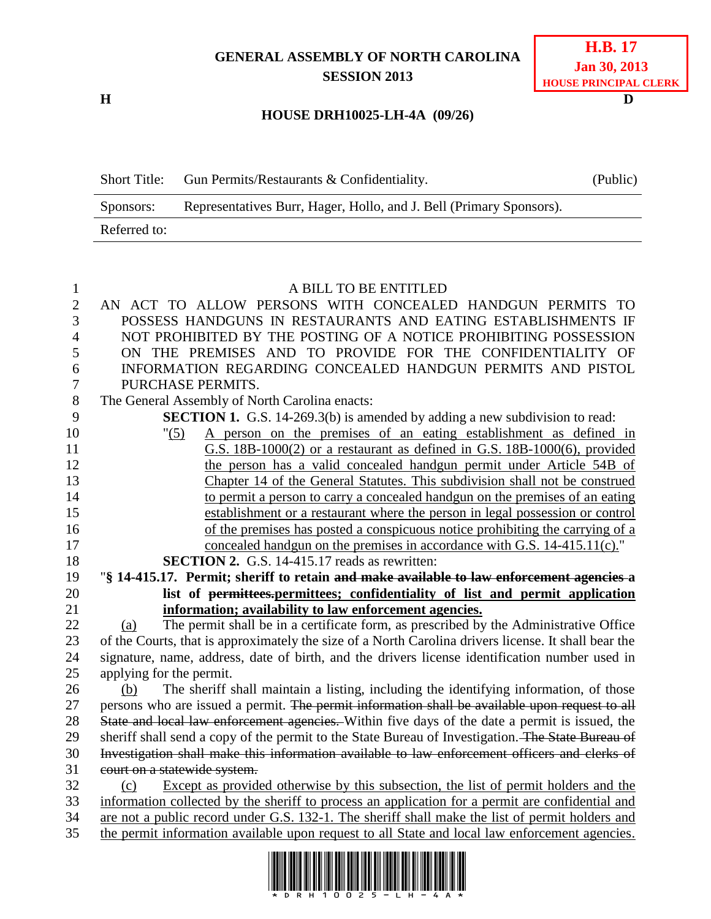## **GENERAL ASSEMBLY OF NORTH CAROLINA SESSION 2013**

**H D**

## **HOUSE DRH10025-LH-4A (09/26)**

| <b>Short Title:</b> | Gun Permits/Restaurants & Confidentiality.                          | (Public) |
|---------------------|---------------------------------------------------------------------|----------|
| Sponsors:           | Representatives Burr, Hager, Hollo, and J. Bell (Primary Sponsors). |          |
| Referred to:        |                                                                     |          |

## A BILL TO BE ENTITLED AN ACT TO ALLOW PERSONS WITH CONCEALED HANDGUN PERMITS TO POSSESS HANDGUNS IN RESTAURANTS AND EATING ESTABLISHMENTS IF NOT PROHIBITED BY THE POSTING OF A NOTICE PROHIBITING POSSESSION ON THE PREMISES AND TO PROVIDE FOR THE CONFIDENTIALITY OF INFORMATION REGARDING CONCEALED HANDGUN PERMITS AND PISTOL PURCHASE PERMITS. The General Assembly of North Carolina enacts: **SECTION 1.** G.S. 14-269.3(b) is amended by adding a new subdivision to read: "(5) A person on the premises of an eating establishment as defined in G.S. 18B-1000(2) or a restaurant as defined in G.S. 18B-1000(6), provided 12 the person has a valid concealed handgun permit under Article 54B of Chapter 14 of the General Statutes. This subdivision shall not be construed to permit a person to carry a concealed handgun on the premises of an eating establishment or a restaurant where the person in legal possession or control of the premises has posted a conspicuous notice prohibiting the carrying of a 17 concealed handgun on the premises in accordance with G.S. 14-415.11(c)." **SECTION 2.** G.S. 14-415.17 reads as rewritten: "**§ 14-415.17. Permit; sheriff to retain and make available to law enforcement agencies a list of permittees.permittees; confidentiality of list and permit application information; availability to law enforcement agencies.** (a) The permit shall be in a certificate form, as prescribed by the Administrative Office of the Courts, that is approximately the size of a North Carolina drivers license. It shall bear the signature, name, address, date of birth, and the drivers license identification number used in applying for the permit. (b) The sheriff shall maintain a listing, including the identifying information, of those 27 persons who are issued a permit. The permit information shall be available upon request to all State and local law enforcement agencies. Within five days of the date a permit is issued, the 29 sheriff shall send a copy of the permit to the State Bureau of Investigation. The State Bureau of Investigation shall make this information available to law enforcement officers and clerks of 31 court on a statewide system. (c) Except as provided otherwise by this subsection, the list of permit holders and the information collected by the sheriff to process an application for a permit are confidential and are not a public record under G.S. 132-1. The sheriff shall make the list of permit holders and



the permit information available upon request to all State and local law enforcement agencies.